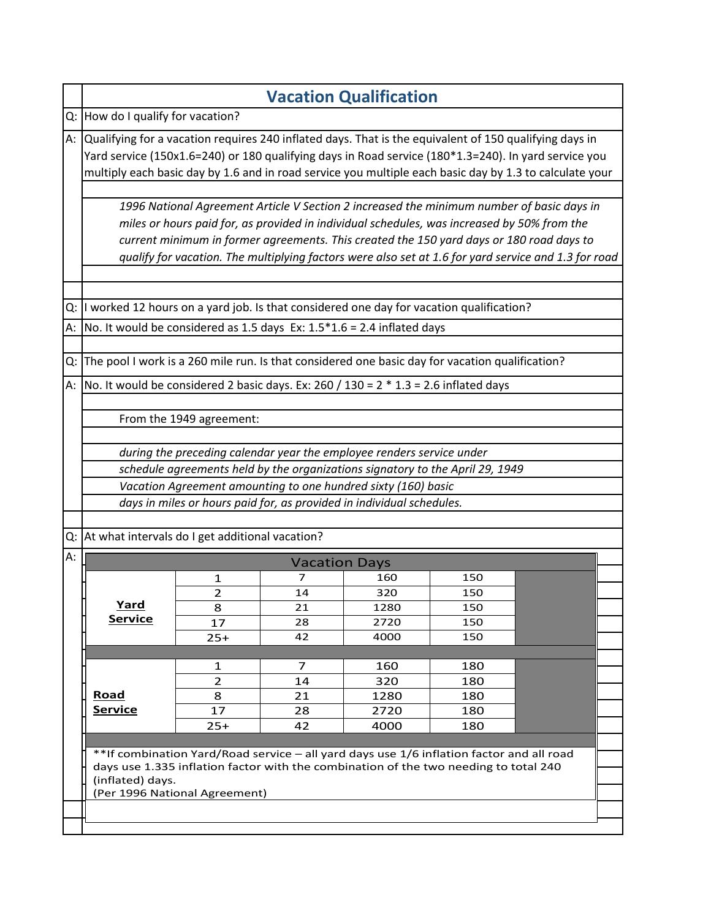|    |                                                                                                                                                                     |                                   |                      | <b>Vacation Qualification</b>                                                            |     |                                                                                                      |  |  |
|----|---------------------------------------------------------------------------------------------------------------------------------------------------------------------|-----------------------------------|----------------------|------------------------------------------------------------------------------------------|-----|------------------------------------------------------------------------------------------------------|--|--|
|    |                                                                                                                                                                     | Q: How do I qualify for vacation? |                      |                                                                                          |     |                                                                                                      |  |  |
|    | A: Qualifying for a vacation requires 240 inflated days. That is the equivalent of 150 qualifying days in                                                           |                                   |                      |                                                                                          |     |                                                                                                      |  |  |
|    | Yard service (150x1.6=240) or 180 qualifying days in Road service (180*1.3=240). In yard service you                                                                |                                   |                      |                                                                                          |     |                                                                                                      |  |  |
|    | multiply each basic day by 1.6 and in road service you multiple each basic day by 1.3 to calculate your                                                             |                                   |                      |                                                                                          |     |                                                                                                      |  |  |
|    | 1996 National Agreement Article V Section 2 increased the minimum number of basic days in                                                                           |                                   |                      |                                                                                          |     |                                                                                                      |  |  |
|    | miles or hours paid for, as provided in individual schedules, was increased by 50% from the                                                                         |                                   |                      |                                                                                          |     |                                                                                                      |  |  |
|    |                                                                                                                                                                     |                                   |                      | current minimum in former agreements. This created the 150 yard days or 180 road days to |     |                                                                                                      |  |  |
|    |                                                                                                                                                                     |                                   |                      |                                                                                          |     | qualify for vacation. The multiplying factors were also set at 1.6 for yard service and 1.3 for road |  |  |
|    |                                                                                                                                                                     |                                   |                      |                                                                                          |     |                                                                                                      |  |  |
|    |                                                                                                                                                                     |                                   |                      |                                                                                          |     |                                                                                                      |  |  |
| Q: | I worked 12 hours on a yard job. Is that considered one day for vacation qualification?<br>No. It would be considered as 1.5 days Ex: $1.5*1.6 = 2.4$ inflated days |                                   |                      |                                                                                          |     |                                                                                                      |  |  |
| А: |                                                                                                                                                                     |                                   |                      |                                                                                          |     |                                                                                                      |  |  |
|    | The pool I work is a 260 mile run. Is that considered one basic day for vacation qualification?                                                                     |                                   |                      |                                                                                          |     |                                                                                                      |  |  |
| Q: |                                                                                                                                                                     |                                   |                      |                                                                                          |     |                                                                                                      |  |  |
| А: | No. It would be considered 2 basic days. Ex: 260 / 130 = $2 * 1.3 = 2.6$ inflated days                                                                              |                                   |                      |                                                                                          |     |                                                                                                      |  |  |
|    |                                                                                                                                                                     |                                   |                      |                                                                                          |     |                                                                                                      |  |  |
|    |                                                                                                                                                                     | From the 1949 agreement:          |                      |                                                                                          |     |                                                                                                      |  |  |
|    |                                                                                                                                                                     |                                   |                      |                                                                                          |     |                                                                                                      |  |  |
|    |                                                                                                                                                                     |                                   |                      | during the preceding calendar year the employee renders service under                    |     |                                                                                                      |  |  |
|    |                                                                                                                                                                     |                                   |                      | schedule agreements held by the organizations signatory to the April 29, 1949            |     |                                                                                                      |  |  |
|    |                                                                                                                                                                     |                                   |                      | Vacation Agreement amounting to one hundred sixty (160) basic                            |     |                                                                                                      |  |  |
|    |                                                                                                                                                                     |                                   |                      | days in miles or hours paid for, as provided in individual schedules.                    |     |                                                                                                      |  |  |
|    |                                                                                                                                                                     |                                   |                      |                                                                                          |     |                                                                                                      |  |  |
| Q: | At what intervals do I get additional vacation?                                                                                                                     |                                   |                      |                                                                                          |     |                                                                                                      |  |  |
| А: |                                                                                                                                                                     |                                   | <b>Vacation Days</b> |                                                                                          |     |                                                                                                      |  |  |
|    |                                                                                                                                                                     | 1                                 | 7                    | 160                                                                                      | 150 |                                                                                                      |  |  |
|    |                                                                                                                                                                     | $\overline{2}$                    | 14                   |                                                                                          |     |                                                                                                      |  |  |
|    |                                                                                                                                                                     |                                   |                      | 320                                                                                      | 150 |                                                                                                      |  |  |
|    | <u>Yard</u>                                                                                                                                                         | 8                                 | 21                   | 1280                                                                                     | 150 |                                                                                                      |  |  |
|    | <b>Service</b>                                                                                                                                                      | 17                                | 28                   | 2720                                                                                     | 150 |                                                                                                      |  |  |
|    |                                                                                                                                                                     | $25+$                             | 42                   | 4000                                                                                     | 150 |                                                                                                      |  |  |
|    |                                                                                                                                                                     | $\mathbf{1}$                      | 7                    | 160                                                                                      | 180 |                                                                                                      |  |  |
|    |                                                                                                                                                                     | $\overline{2}$                    | 14                   | 320                                                                                      | 180 |                                                                                                      |  |  |
|    | <u>Road</u>                                                                                                                                                         | 8                                 | 21                   | 1280                                                                                     | 180 |                                                                                                      |  |  |
|    | <b>Service</b>                                                                                                                                                      | 17                                | 28                   | 2720                                                                                     | 180 |                                                                                                      |  |  |
|    |                                                                                                                                                                     | $25+$                             | 42                   | 4000                                                                                     | 180 |                                                                                                      |  |  |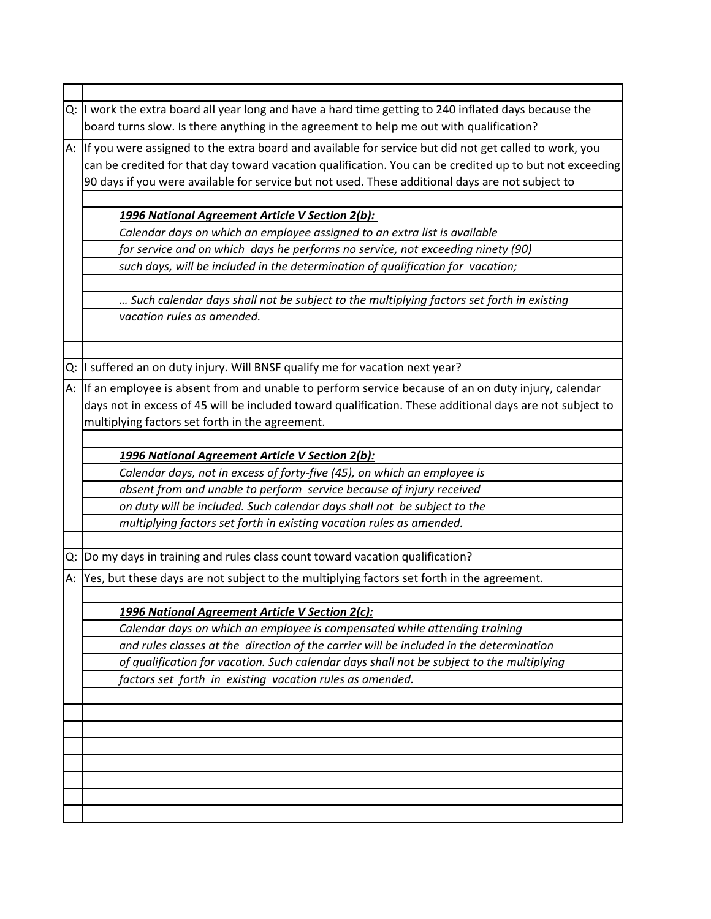|    | $ Q: I $ work the extra board all year long and have a hard time getting to 240 inflated days because the |
|----|-----------------------------------------------------------------------------------------------------------|
|    | board turns slow. Is there anything in the agreement to help me out with qualification?                   |
|    | A: If you were assigned to the extra board and available for service but did not get called to work, you  |
|    | can be credited for that day toward vacation qualification. You can be credited up to but not exceeding   |
|    | 90 days if you were available for service but not used. These additional days are not subject to          |
|    |                                                                                                           |
|    | 1996 National Agreement Article V Section 2(b):                                                           |
|    | Calendar days on which an employee assigned to an extra list is available                                 |
|    | for service and on which days he performs no service, not exceeding ninety (90)                           |
|    | such days, will be included in the determination of qualification for vacation;                           |
|    |                                                                                                           |
|    | Such calendar days shall not be subject to the multiplying factors set forth in existing                  |
|    | vacation rules as amended.                                                                                |
|    |                                                                                                           |
|    |                                                                                                           |
|    | Q: I suffered an on duty injury. Will BNSF qualify me for vacation next year?                             |
|    | A: If an employee is absent from and unable to perform service because of an on duty injury, calendar     |
|    | days not in excess of 45 will be included toward qualification. These additional days are not subject to  |
|    | multiplying factors set forth in the agreement.                                                           |
|    |                                                                                                           |
|    | 1996 National Agreement Article V Section 2(b):                                                           |
|    | Calendar days, not in excess of forty-five (45), on which an employee is                                  |
|    | absent from and unable to perform service because of injury received                                      |
|    | on duty will be included. Such calendar days shall not be subject to the                                  |
|    | multiplying factors set forth in existing vacation rules as amended.                                      |
|    |                                                                                                           |
| Q: | Do my days in training and rules class count toward vacation qualification?                               |
| A: | Yes, but these days are not subject to the multiplying factors set forth in the agreement.                |
|    |                                                                                                           |
|    | 1996 National Agreement Article V Section 2(c):                                                           |
|    | Calendar days on which an employee is compensated while attending training                                |
|    | and rules classes at the direction of the carrier will be included in the determination                   |
|    | of qualification for vacation. Such calendar days shall not be subject to the multiplying                 |
|    | factors set forth in existing vacation rules as amended.                                                  |
|    |                                                                                                           |
|    |                                                                                                           |
|    |                                                                                                           |
|    |                                                                                                           |
|    |                                                                                                           |
|    |                                                                                                           |
|    |                                                                                                           |
|    |                                                                                                           |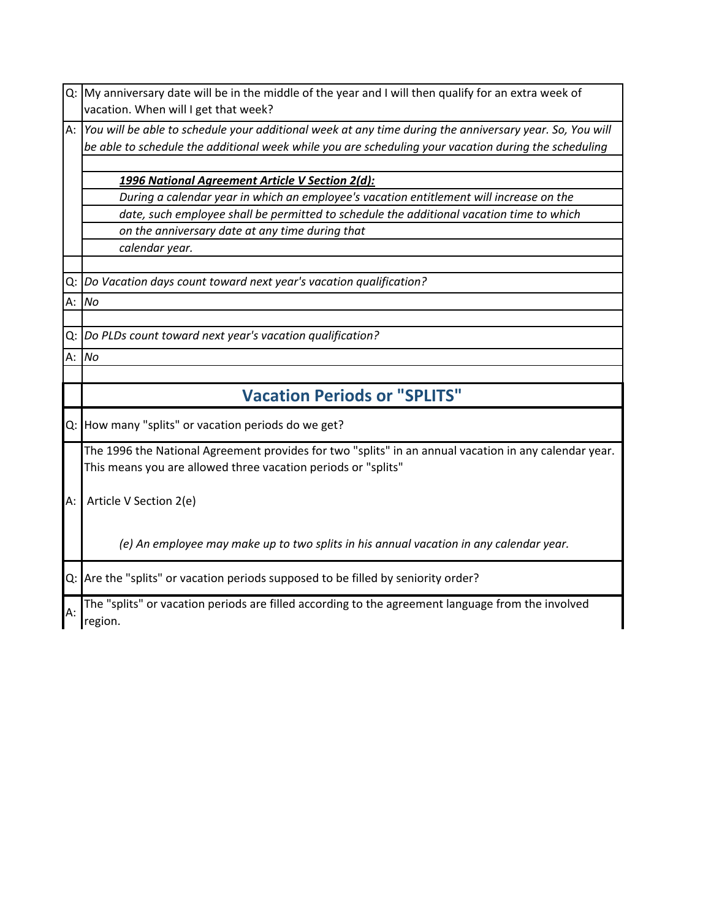|    | Q: My anniversary date will be in the middle of the year and I will then qualify for an extra week of   |
|----|---------------------------------------------------------------------------------------------------------|
|    | vacation. When will I get that week?                                                                    |
| A: | You will be able to schedule your additional week at any time during the anniversary year. So, You will |
|    | be able to schedule the additional week while you are scheduling your vacation during the scheduling    |
|    |                                                                                                         |
|    | 1996 National Agreement Article V Section 2(d):                                                         |
|    | During a calendar year in which an employee's vacation entitlement will increase on the                 |
|    | date, such employee shall be permitted to schedule the additional vacation time to which                |
|    | on the anniversary date at any time during that                                                         |
|    | calendar year.                                                                                          |
|    |                                                                                                         |
| Q: | Do Vacation days count toward next year's vacation qualification?                                       |
|    | A: No                                                                                                   |
|    |                                                                                                         |
|    | Q: Do PLDs count toward next year's vacation qualification?                                             |
|    | A: No                                                                                                   |
|    |                                                                                                         |
|    | <b>Vacation Periods or "SPLITS"</b>                                                                     |
|    | Q: How many "splits" or vacation periods do we get?                                                     |
|    | The 1996 the National Agreement provides for two "splits" in an annual vacation in any calendar year.   |
|    | This means you are allowed three vacation periods or "splits"                                           |
|    |                                                                                                         |
| A: | Article V Section 2(e)                                                                                  |
|    |                                                                                                         |
|    | (e) An employee may make up to two splits in his annual vacation in any calendar year.                  |
|    |                                                                                                         |
|    | Q: Are the "splits" or vacation periods supposed to be filled by seniority order?                       |
|    |                                                                                                         |
| А: | The "splits" or vacation periods are filled according to the agreement language from the involved       |
|    | region.                                                                                                 |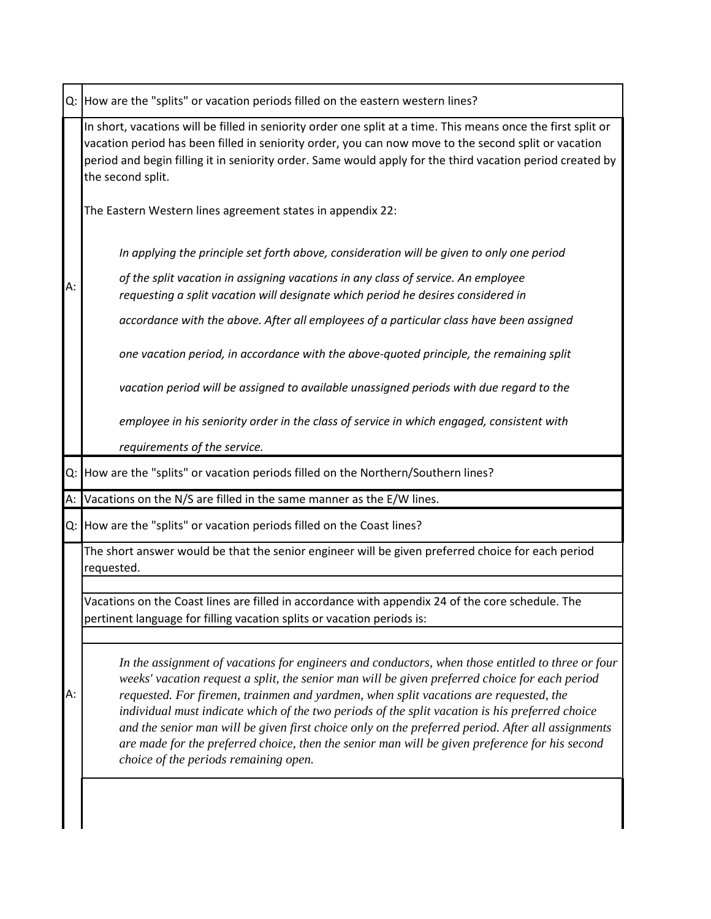|      | Q: How are the "splits" or vacation periods filled on the eastern western lines?                                                                                                                                                                                                                                                                        |  |  |
|------|---------------------------------------------------------------------------------------------------------------------------------------------------------------------------------------------------------------------------------------------------------------------------------------------------------------------------------------------------------|--|--|
|      | In short, vacations will be filled in seniority order one split at a time. This means once the first split or<br>vacation period has been filled in seniority order, you can now move to the second split or vacation<br>period and begin filling it in seniority order. Same would apply for the third vacation period created by<br>the second split. |  |  |
|      | The Eastern Western lines agreement states in appendix 22:                                                                                                                                                                                                                                                                                              |  |  |
|      | In applying the principle set forth above, consideration will be given to only one period                                                                                                                                                                                                                                                               |  |  |
| А:   | of the split vacation in assigning vacations in any class of service. An employee<br>requesting a split vacation will designate which period he desires considered in                                                                                                                                                                                   |  |  |
|      | accordance with the above. After all employees of a particular class have been assigned                                                                                                                                                                                                                                                                 |  |  |
|      | one vacation period, in accordance with the above-quoted principle, the remaining split                                                                                                                                                                                                                                                                 |  |  |
|      | vacation period will be assigned to available unassigned periods with due regard to the                                                                                                                                                                                                                                                                 |  |  |
|      | employee in his seniority order in the class of service in which engaged, consistent with                                                                                                                                                                                                                                                               |  |  |
|      | requirements of the service.                                                                                                                                                                                                                                                                                                                            |  |  |
|      | Q: How are the "splits" or vacation periods filled on the Northern/Southern lines?                                                                                                                                                                                                                                                                      |  |  |
|      |                                                                                                                                                                                                                                                                                                                                                         |  |  |
| A: l | Vacations on the N/S are filled in the same manner as the E/W lines.                                                                                                                                                                                                                                                                                    |  |  |
|      | Q: How are the "splits" or vacation periods filled on the Coast lines?                                                                                                                                                                                                                                                                                  |  |  |
|      | The short answer would be that the senior engineer will be given preferred choice for each period<br>requested.                                                                                                                                                                                                                                         |  |  |
|      |                                                                                                                                                                                                                                                                                                                                                         |  |  |
|      | Vacations on the Coast lines are filled in accordance with appendix 24 of the core schedule. The<br>pertinent language for filling vacation splits or vacation periods is:                                                                                                                                                                              |  |  |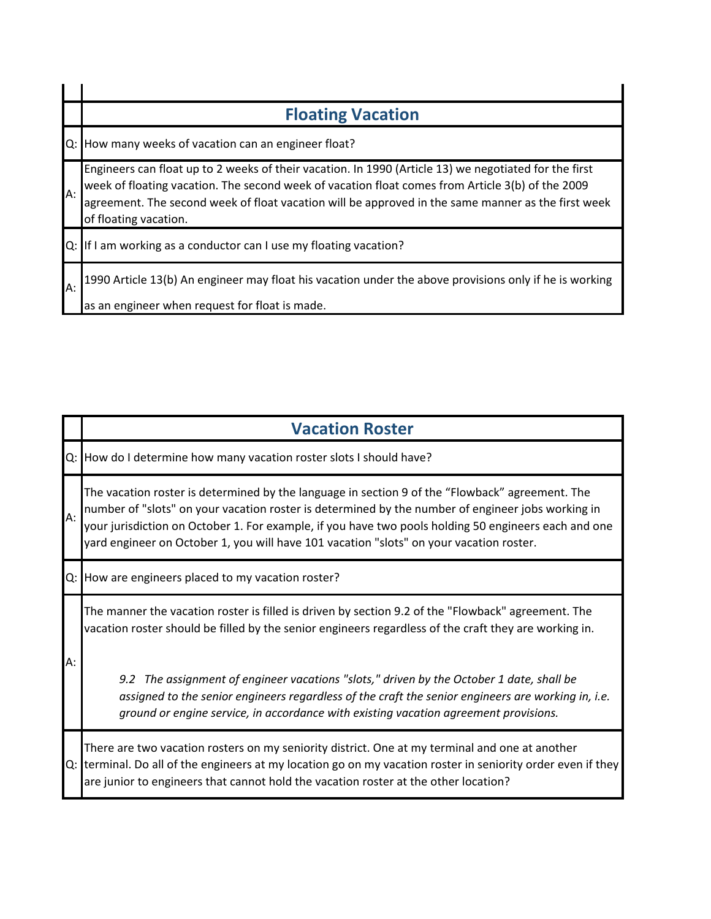|       | <b>Floating Vacation</b>                                                                                                                                                                                                                                                                                                                 |
|-------|------------------------------------------------------------------------------------------------------------------------------------------------------------------------------------------------------------------------------------------------------------------------------------------------------------------------------------------|
| lQ: l | How many weeks of vacation can an engineer float?                                                                                                                                                                                                                                                                                        |
| A:    | Engineers can float up to 2 weeks of their vacation. In 1990 (Article 13) we negotiated for the first<br>week of floating vacation. The second week of vacation float comes from Article 3(b) of the 2009<br>agreement. The second week of float vacation will be approved in the same manner as the first week<br>of floating vacation. |
| $Q$ : | If I am working as a conductor can I use my floating vacation?                                                                                                                                                                                                                                                                           |
| A:    | 1990 Article 13(b) An engineer may float his vacation under the above provisions only if he is working<br>as an engineer when request for float is made.                                                                                                                                                                                 |

|    | <b>Vacation Roster</b>                                                                                                                                                                                                                                                                                                                                                                                  |
|----|---------------------------------------------------------------------------------------------------------------------------------------------------------------------------------------------------------------------------------------------------------------------------------------------------------------------------------------------------------------------------------------------------------|
|    | Q: How do I determine how many vacation roster slots I should have?                                                                                                                                                                                                                                                                                                                                     |
| A: | The vacation roster is determined by the language in section 9 of the "Flowback" agreement. The<br>number of "slots" on your vacation roster is determined by the number of engineer jobs working in<br>your jurisdiction on October 1. For example, if you have two pools holding 50 engineers each and one<br>yard engineer on October 1, you will have 101 vacation "slots" on your vacation roster. |
|    | Q: How are engineers placed to my vacation roster?                                                                                                                                                                                                                                                                                                                                                      |
|    | The manner the vacation roster is filled is driven by section 9.2 of the "Flowback" agreement. The<br>vacation roster should be filled by the senior engineers regardless of the craft they are working in.                                                                                                                                                                                             |
| А: | The assignment of engineer vacations "slots," driven by the October 1 date, shall be<br>$9.2^{\circ}$<br>assigned to the senior engineers regardless of the craft the senior engineers are working in, i.e.<br>ground or engine service, in accordance with existing vacation agreement provisions.                                                                                                     |
|    | There are two vacation rosters on my seniority district. One at my terminal and one at another<br>Q: terminal. Do all of the engineers at my location go on my vacation roster in seniority order even if they<br>are junior to engineers that cannot hold the vacation roster at the other location?                                                                                                   |